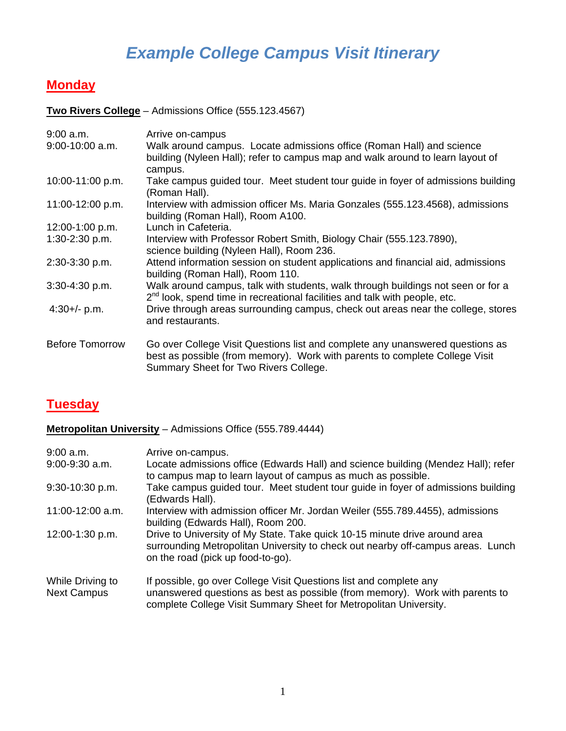# *Example College Campus Visit Itinerary*

#### **Monday**

**Two Rivers College** – Admissions Office (555.123.4567)

| $9:00$ a.m.            | Arrive on-campus                                                                                                                                                                                      |
|------------------------|-------------------------------------------------------------------------------------------------------------------------------------------------------------------------------------------------------|
| $9:00-10:00$ a.m.      | Walk around campus. Locate admissions office (Roman Hall) and science<br>building (Nyleen Hall); refer to campus map and walk around to learn layout of<br>campus.                                    |
| 10:00-11:00 p.m.       | Take campus guided tour. Meet student tour guide in foyer of admissions building<br>(Roman Hall).                                                                                                     |
| 11:00-12:00 p.m.       | Interview with admission officer Ms. Maria Gonzales (555.123.4568), admissions<br>building (Roman Hall), Room A100.                                                                                   |
| 12:00-1:00 p.m.        | Lunch in Cafeteria.                                                                                                                                                                                   |
| 1:30-2:30 p.m.         | Interview with Professor Robert Smith, Biology Chair (555.123.7890),<br>science building (Nyleen Hall), Room 236.                                                                                     |
| 2:30-3:30 p.m.         | Attend information session on student applications and financial aid, admissions<br>building (Roman Hall), Room 110.                                                                                  |
| $3:30-4:30 p.m.$       | Walk around campus, talk with students, walk through buildings not seen or for a<br>$2^{nd}$ look, spend time in recreational facilities and talk with people, etc.                                   |
| $4:30+/- p.m.$         | Drive through areas surrounding campus, check out areas near the college, stores<br>and restaurants.                                                                                                  |
| <b>Before Tomorrow</b> | Go over College Visit Questions list and complete any unanswered questions as<br>best as possible (from memory). Work with parents to complete College Visit<br>Summary Sheet for Two Rivers College. |

### **Tuesday**

**Metropolitan University** – Admissions Office (555.789.4444)

| $9:00$ a.m.                            | Arrive on-campus.                                                                                                                                                                                                       |
|----------------------------------------|-------------------------------------------------------------------------------------------------------------------------------------------------------------------------------------------------------------------------|
| $9:00-9:30$ a.m.                       | Locate admissions office (Edwards Hall) and science building (Mendez Hall); refer<br>to campus map to learn layout of campus as much as possible.                                                                       |
| 9:30-10:30 p.m.                        | Take campus guided tour. Meet student tour guide in foyer of admissions building<br>(Edwards Hall).                                                                                                                     |
| 11:00-12:00 a.m.                       | Interview with admission officer Mr. Jordan Weiler (555.789.4455), admissions<br>building (Edwards Hall), Room 200.                                                                                                     |
| 12:00-1:30 p.m.                        | Drive to University of My State. Take quick 10-15 minute drive around area<br>surrounding Metropolitan University to check out nearby off-campus areas. Lunch<br>on the road (pick up food-to-go).                      |
| While Driving to<br><b>Next Campus</b> | If possible, go over College Visit Questions list and complete any<br>unanswered questions as best as possible (from memory). Work with parents to<br>complete College Visit Summary Sheet for Metropolitan University. |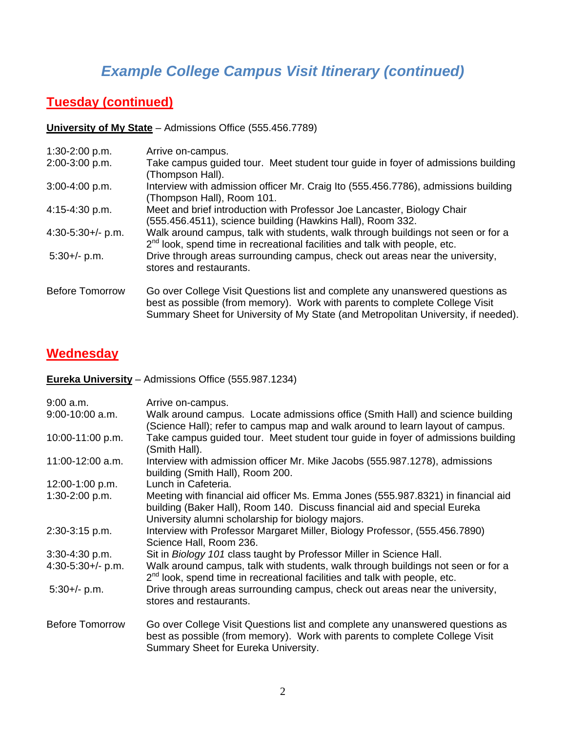## *Example College Campus Visit Itinerary (continued)*

### **Tuesday (continued)**

**University of My State** – Admissions Office (555.456.7789)

| $1:30-2:00$ p.m.       | Arrive on-campus.                                                                                                                                                                                                                                  |
|------------------------|----------------------------------------------------------------------------------------------------------------------------------------------------------------------------------------------------------------------------------------------------|
| 2:00-3:00 p.m.         | Take campus guided tour. Meet student tour guide in foyer of admissions building<br>(Thompson Hall).                                                                                                                                               |
| $3:00-4:00 p.m.$       | Interview with admission officer Mr. Craig Ito (555.456.7786), admissions building<br>(Thompson Hall), Room 101.                                                                                                                                   |
| $4:15-4:30 p.m.$       | Meet and brief introduction with Professor Joe Lancaster, Biology Chair<br>(555.456.4511), science building (Hawkins Hall), Room 332.                                                                                                              |
| $4:30-5:30+/- p.m.$    | Walk around campus, talk with students, walk through buildings not seen or for a<br>$2nd$ look, spend time in recreational facilities and talk with people, etc.                                                                                   |
| $5:30 +/- p.m.$        | Drive through areas surrounding campus, check out areas near the university,<br>stores and restaurants.                                                                                                                                            |
| <b>Before Tomorrow</b> | Go over College Visit Questions list and complete any unanswered questions as<br>best as possible (from memory). Work with parents to complete College Visit<br>Summary Sheet for University of My State (and Metropolitan University, if needed). |

#### **Wednesday**

**Eureka University** – Admissions Office (555.987.1234)

| 9:00 a.m.              | Arrive on-campus.                                                                                                                                                                                                   |
|------------------------|---------------------------------------------------------------------------------------------------------------------------------------------------------------------------------------------------------------------|
| $9:00-10:00$ a.m.      | Walk around campus. Locate admissions office (Smith Hall) and science building<br>(Science Hall); refer to campus map and walk around to learn layout of campus.                                                    |
| 10:00-11:00 p.m.       | Take campus guided tour. Meet student tour guide in foyer of admissions building<br>(Smith Hall).                                                                                                                   |
| 11:00-12:00 a.m.       | Interview with admission officer Mr. Mike Jacobs (555.987.1278), admissions<br>building (Smith Hall), Room 200.                                                                                                     |
| 12:00-1:00 p.m.        | Lunch in Cafeteria.                                                                                                                                                                                                 |
| $1:30-2:00$ p.m.       | Meeting with financial aid officer Ms. Emma Jones (555.987.8321) in financial aid<br>building (Baker Hall), Room 140. Discuss financial aid and special Eureka<br>University alumni scholarship for biology majors. |
| 2:30-3:15 p.m.         | Interview with Professor Margaret Miller, Biology Professor, (555.456.7890)<br>Science Hall, Room 236.                                                                                                              |
| $3:30-4:30 p.m.$       | Sit in Biology 101 class taught by Professor Miller in Science Hall.                                                                                                                                                |
| $4:30-5:30+/- p.m.$    | Walk around campus, talk with students, walk through buildings not seen or for a<br>$2nd$ look, spend time in recreational facilities and talk with people, etc.                                                    |
| $5:30+/- p.m.$         | Drive through areas surrounding campus, check out areas near the university,<br>stores and restaurants.                                                                                                             |
| <b>Before Tomorrow</b> | Go over College Visit Questions list and complete any unanswered questions as<br>best as possible (from memory). Work with parents to complete College Visit<br>Summary Sheet for Eureka University.                |